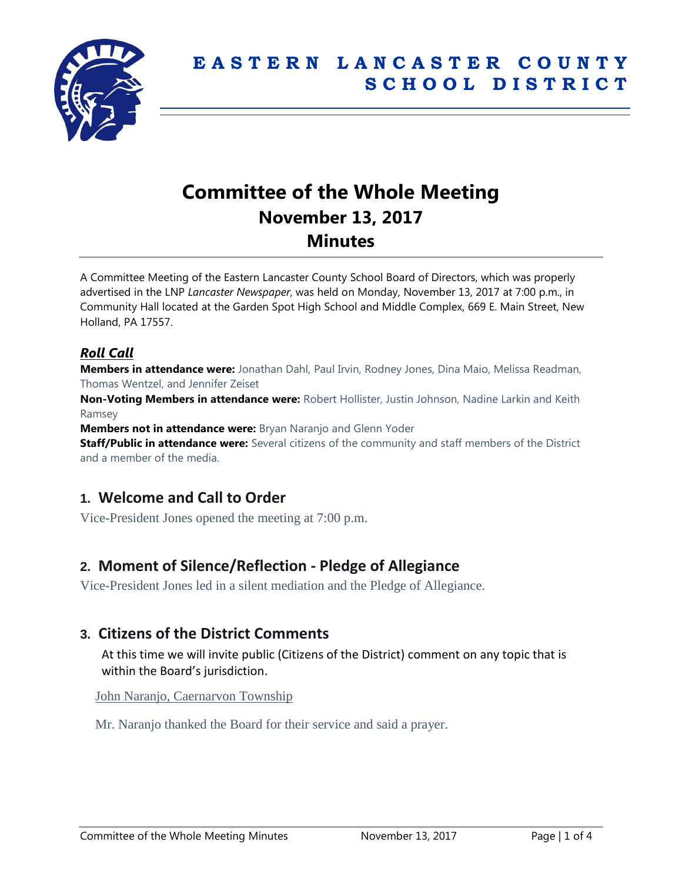

# **Committee of the Whole Meeting November 13, 2017 Minutes**

A Committee Meeting of the Eastern Lancaster County School Board of Directors, which was properly advertised in the LNP *Lancaster Newspaper*, was held on Monday, November 13, 2017 at 7:00 p.m., in Community Hall located at the Garden Spot High School and Middle Complex, 669 E. Main Street, New Holland, PA 17557.

## *Roll Call*

**Members in attendance were:** Jonathan Dahl, Paul Irvin, Rodney Jones, Dina Maio, Melissa Readman, Thomas Wentzel, and Jennifer Zeiset

**Non-Voting Members in attendance were:** Robert Hollister, Justin Johnson, Nadine Larkin and Keith Ramsey

**Members not in attendance were:** Bryan Naranjo and Glenn Yoder

**Staff/Public in attendance were:** Several citizens of the community and staff members of the District and a member of the media.

# **1. Welcome and Call to Order**

Vice-President Jones opened the meeting at 7:00 p.m.

# **2. Moment of Silence/Reflection - Pledge of Allegiance**

Vice-President Jones led in a silent mediation and the Pledge of Allegiance.

# **3. Citizens of the District Comments**

At this time we will invite public (Citizens of the District) comment on any topic that is within the Board's jurisdiction.

John Naranjo, Caernarvon Township

Mr. Naranjo thanked the Board for their service and said a prayer.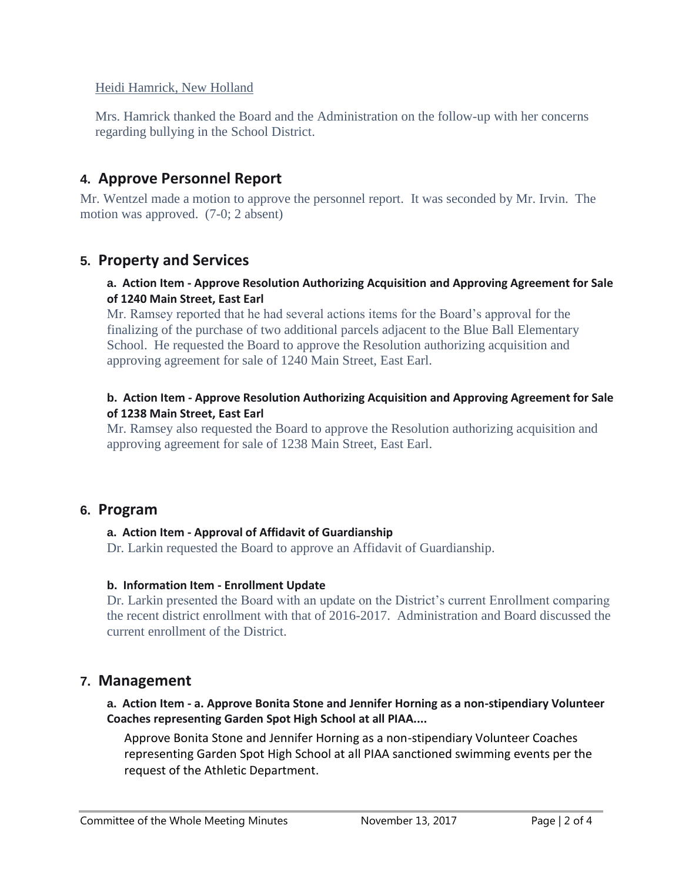## Heidi Hamrick, New Holland

Mrs. Hamrick thanked the Board and the Administration on the follow-up with her concerns regarding bullying in the School District.

# **4. Approve Personnel Report**

Mr. Wentzel made a motion to approve the personnel report. It was seconded by Mr. Irvin. The motion was approved. (7-0; 2 absent)

# **5. Property and Services**

#### **a. Action Item - Approve Resolution Authorizing Acquisition and Approving Agreement for Sale of 1240 Main Street, East Earl**

Mr. Ramsey reported that he had several actions items for the Board's approval for the finalizing of the purchase of two additional parcels adjacent to the Blue Ball Elementary School. He requested the Board to approve the Resolution authorizing acquisition and approving agreement for sale of 1240 Main Street, East Earl.

## **b. Action Item - Approve Resolution Authorizing Acquisition and Approving Agreement for Sale of 1238 Main Street, East Earl**

Mr. Ramsey also requested the Board to approve the Resolution authorizing acquisition and approving agreement for sale of 1238 Main Street, East Earl.

## **6. Program**

## **a. Action Item - Approval of Affidavit of Guardianship**

Dr. Larkin requested the Board to approve an Affidavit of Guardianship.

#### **b. Information Item - Enrollment Update**

Dr. Larkin presented the Board with an update on the District's current Enrollment comparing the recent district enrollment with that of 2016-2017. Administration and Board discussed the current enrollment of the District.

# **7. Management**

## **a. Action Item - a. Approve Bonita Stone and Jennifer Horning as a non-stipendiary Volunteer Coaches representing Garden Spot High School at all PIAA....**

Approve Bonita Stone and Jennifer Horning as a non-stipendiary Volunteer Coaches representing Garden Spot High School at all PIAA sanctioned swimming events per the request of the Athletic Department.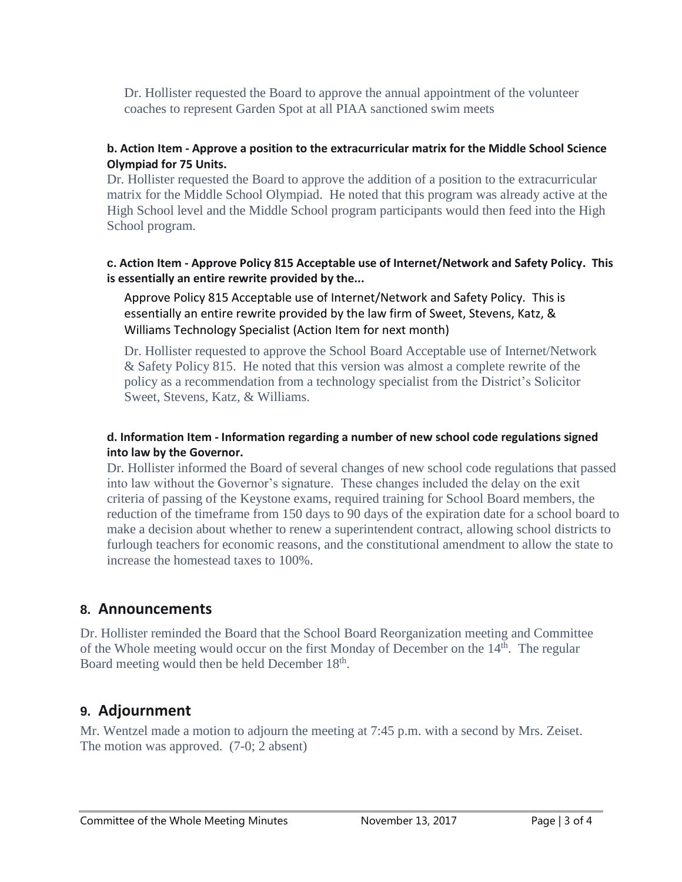Dr. Hollister requested the Board to approve the annual appointment of the volunteer coaches to represent Garden Spot at all PIAA sanctioned swim meets

## **b. Action Item - Approve a position to the extracurricular matrix for the Middle School Science Olympiad for 75 Units.**

Dr. Hollister requested the Board to approve the addition of a position to the extracurricular matrix for the Middle School Olympiad. He noted that this program was already active at the High School level and the Middle School program participants would then feed into the High School program.

## **c. Action Item - Approve Policy 815 Acceptable use of Internet/Network and Safety Policy. This is essentially an entire rewrite provided by the...**

Approve Policy 815 Acceptable use of Internet/Network and Safety Policy. This is essentially an entire rewrite provided by the law firm of Sweet, Stevens, Katz, & Williams Technology Specialist (Action Item for next month)

Dr. Hollister requested to approve the School Board Acceptable use of Internet/Network & Safety Policy 815. He noted that this version was almost a complete rewrite of the policy as a recommendation from a technology specialist from the District's Solicitor Sweet, Stevens, Katz, & Williams.

## **d. Information Item - Information regarding a number of new school code regulations signed into law by the Governor.**

Dr. Hollister informed the Board of several changes of new school code regulations that passed into law without the Governor's signature. These changes included the delay on the exit criteria of passing of the Keystone exams, required training for School Board members, the reduction of the timeframe from 150 days to 90 days of the expiration date for a school board to make a decision about whether to renew a superintendent contract, allowing school districts to furlough teachers for economic reasons, and the constitutional amendment to allow the state to increase the homestead taxes to 100%.

# **8. Announcements**

Dr. Hollister reminded the Board that the School Board Reorganization meeting and Committee of the Whole meeting would occur on the first Monday of December on the 14<sup>th</sup>. The regular Board meeting would then be held December 18<sup>th</sup>.

# **9. Adjournment**

Mr. Wentzel made a motion to adjourn the meeting at 7:45 p.m. with a second by Mrs. Zeiset. The motion was approved. (7-0; 2 absent)